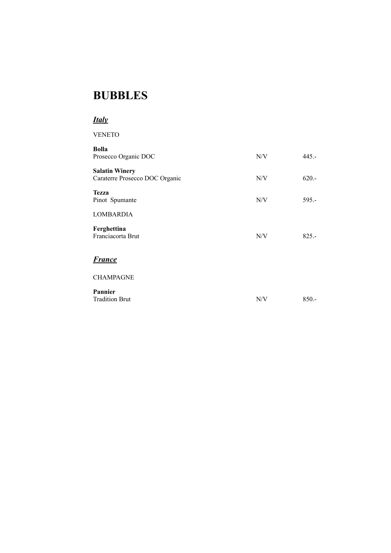## **BUBBLES**

## *Italy*

VENETO

| Bolla                                                   |     |          |
|---------------------------------------------------------|-----|----------|
| Prosecco Organic DOC                                    | N/V | $445 -$  |
| <b>Salatin Winery</b><br>Caraterre Prosecco DOC Organic | N/V | $620 -$  |
| <b>Tezza</b><br>Pinot Spumante                          | N/V | $595. -$ |
| <b>LOMBARDIA</b>                                        |     |          |
| Ferghettina<br>Franciacorta Brut                        | N/V | $825 -$  |
| <b>France</b>                                           |     |          |
| <b>CHAMPAGNE</b>                                        |     |          |
| <b>Pannier</b><br><b>Tradition Brut</b>                 | N/V | $850 -$  |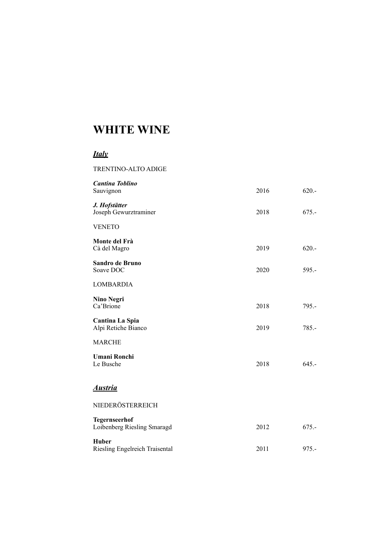# **WHITE WINE**

## *Italy*

### TRENTINO-ALTO ADIGE

| Cantina Toblino<br>Sauvignon                   | 2016 | $620 -$  |
|------------------------------------------------|------|----------|
|                                                |      |          |
| J. Hofstätter<br>Joseph Gewurztraminer         | 2018 | $675. -$ |
| <b>VENETO</b>                                  |      |          |
| Monte del Frà<br>Cà del Magro                  | 2019 | $620 -$  |
| Sandro de Bruno<br>Soave DOC                   | 2020 | $595. -$ |
| <b>LOMBARDIA</b>                               |      |          |
| <b>Nino Negri</b><br>Ca'Brione                 | 2018 | $795. -$ |
| Cantina La Spia<br>Alpi Retiche Bianco         | 2019 | $785. -$ |
| <b>MARCHE</b>                                  |      |          |
| <b>Umani Ronchi</b><br>Le Busche               | 2018 | $645. -$ |
| <b>Austria</b>                                 |      |          |
| NIEDERÖSTERREICH                               |      |          |
| Tegernseerhof<br>Loibenberg Riesling Smaragd   | 2012 | $675. -$ |
| <b>Huber</b><br>Riesling Engelreich Traisental | 2011 | $975. -$ |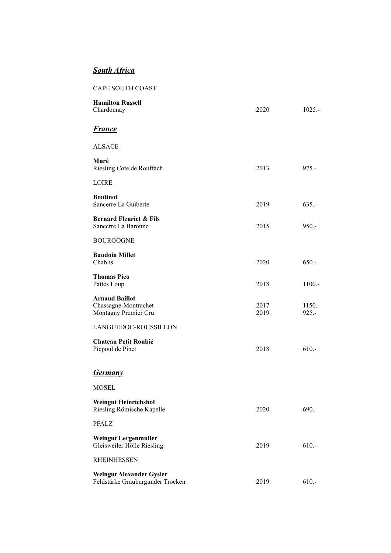## *South Africa*

### CAPE SOUTH COAST

| <b>Hamilton Russell</b><br>Chardonnay                                 | 2020         | $1025. -$             |
|-----------------------------------------------------------------------|--------------|-----------------------|
| <b>France</b>                                                         |              |                       |
| <b>ALSACE</b>                                                         |              |                       |
| Muré<br>Riesling Cote de Rouffach                                     | 2013         | $975 -$               |
| <b>LOIRE</b>                                                          |              |                       |
| <b>Boutinot</b><br>Sancerre La Guiberte                               | 2019         | $635. -$              |
| <b>Bernard Fleuriet &amp; Fils</b><br>Sancerre La Baronne             | 2015         | $950 -$               |
| <b>BOURGOGNE</b>                                                      |              |                       |
| <b>Baudoin Millet</b><br>Chablis                                      | 2020         | $650. -$              |
| <b>Thomas Pico</b><br>Pattes Loup                                     | 2018         | $1100. -$             |
| <b>Arnaud Baillot</b><br>Chassagne-Montrachet<br>Montagny Premier Cru | 2017<br>2019 | $1150. -$<br>$925. -$ |
| LANGUEDOC-ROUSSILLON                                                  |              |                       |
| <b>Chateau Petit Roubié</b><br>Picpoul de Pinet                       | 2018         | $610. -$              |
| <b>Germany</b>                                                        |              |                       |
| <b>MOSEL</b>                                                          |              |                       |
| <b>Weingut Heinrichshof</b><br>Riesling Römische Kapelle              | 2020         | $690. -$              |
| <b>PFALZ</b>                                                          |              |                       |
| <b>Weingut Lergenmuller</b><br>Gleisweiler Hölle Riesling             | 2019         | $610. -$              |
| <b>RHEINHESSEN</b>                                                    |              |                       |
| <b>Weingut Alexander Gysler</b><br>Feldstärke Grauburgunder Trocken   | 2019         | $610. -$              |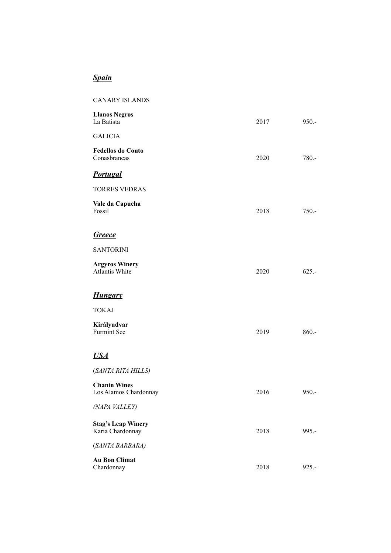## *Spain*

| <b>CANARY ISLANDS</b>                         |      |          |
|-----------------------------------------------|------|----------|
| <b>Llanos Negros</b><br>La Batista            | 2017 | $950 -$  |
| <b>GALICIA</b>                                |      |          |
| <b>Fedellos do Couto</b><br>Conasbrancas      | 2020 | $780 -$  |
| <b>Portugal</b>                               |      |          |
| <b>TORRES VEDRAS</b>                          |      |          |
| Vale da Capucha<br>Fossil                     | 2018 | $750 -$  |
| <u>Greece</u>                                 |      |          |
| <b>SANTORINI</b>                              |      |          |
| <b>Argyros Winery</b><br>Atlantis White       | 2020 | $625 -$  |
| <b>Hungary</b>                                |      |          |
| <b>TOKAJ</b>                                  |      |          |
| Királyudvar<br>Furmint Sec                    | 2019 | $860. -$ |
| <b>USA</b>                                    |      |          |
| (SANTA RITA HILLS)                            |      |          |
| <b>Chanin Wines</b><br>Los Alamos Chardonnay  | 2016 | $950 -$  |
| (NAPA VALLEY)                                 |      |          |
| <b>Stag's Leap Winery</b><br>Karia Chardonnay | 2018 | 995.-    |
| (SANTA BARBARA)                               |      |          |
| <b>Au Bon Climat</b><br>Chardonnay            | 2018 | $925. -$ |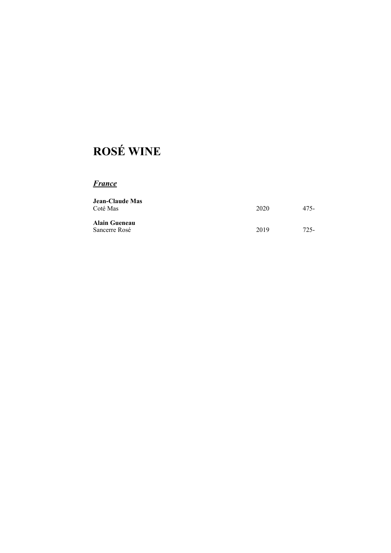# **ROSÉ WINE**

## *France*

| <b>Jean-Claude Mas</b><br>Coté Mas | 2020 | 475- |
|------------------------------------|------|------|
| Alain Gueneau<br>Sancerre Rosé     | 2019 | 725- |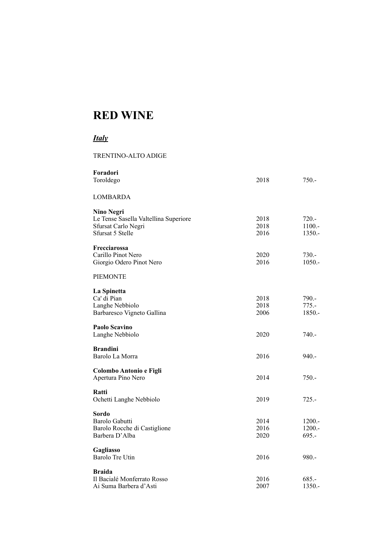# **RED WINE**

## *Italy*

### TRENTINO-ALTO ADIGE

| Foradori<br>Toroldego                                                                                 | 2018                 | $750 -$                            |
|-------------------------------------------------------------------------------------------------------|----------------------|------------------------------------|
| LOMBARDA                                                                                              |                      |                                    |
| <b>Nino Negri</b><br>Le Tense Sasella Valtellina Superiore<br>Sfursat Carlo Negri<br>Sfursat 5 Stelle | 2018<br>2018<br>2016 | $720 -$<br>$1100. -$<br>1350.-     |
| Frecciarossa<br>Carillo Pinot Nero<br>Giorgio Odero Pinot Nero                                        | 2020<br>2016         | $730 -$<br>$1050 -$                |
| PIEMONTE                                                                                              |                      |                                    |
| La Spinetta<br>Ca' di Pian<br>Langhe Nebbiolo<br>Barbaresco Vigneto Gallina                           | 2018<br>2018<br>2006 | $790 -$<br>$775. -$<br>$1850. -$   |
| Paolo Scavino<br>Langhe Nebbiolo                                                                      | 2020                 | $740 -$                            |
| <b>Brandini</b><br>Barolo La Morra                                                                    | 2016                 | $940 -$                            |
| Colombo Antonio e Figli<br>Apertura Pino Nero                                                         | 2014                 | $750. -$                           |
| Ratti<br>Ochetti Langhe Nebbiolo                                                                      | 2019                 | $725 -$                            |
| Sordo<br>Barolo Gabutti<br>Barolo Rocche di Castiglione<br>Barbera D'Alba                             | 2014<br>2016<br>2020 | $1200. -$<br>$1200. -$<br>$695. -$ |
| Gagliasso<br>Barolo Tre Utin                                                                          | 2016                 | $980 -$                            |
| <b>Braida</b><br>Il Bacialé Monferrato Rosso<br>Ai Suma Barbera d'Asti                                | 2016<br>2007         | $685. -$<br>$1350. -$              |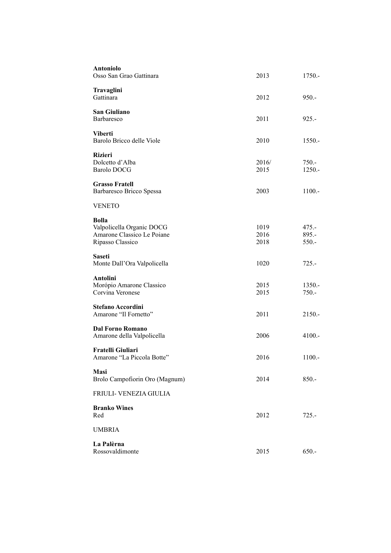| <b>Antoniolo</b><br>Osso San Grao Gattinara                                                 | 2013                 | $1750. -$                        |
|---------------------------------------------------------------------------------------------|----------------------|----------------------------------|
| Travaglini<br>Gattinara                                                                     | 2012                 | $950 -$                          |
| San Giuliano<br>Barbaresco                                                                  | 2011                 | $925 -$                          |
| <b>Viberti</b><br>Barolo Bricco delle Viole                                                 | 2010                 | $1550. -$                        |
| <b>Rizieri</b><br>Dolcetto d'Alba<br><b>Barolo DOCG</b>                                     | 2016/<br>2015        | 750.-<br>$1250 -$                |
| <b>Grasso Fratell</b><br>Barbaresco Bricco Spessa                                           | 2003                 | $1100 -$                         |
| <b>VENETO</b>                                                                               |                      |                                  |
| <b>Bolla</b><br>Valpolicella Organic DOCG<br>Amarone Classico Le Poiane<br>Ripasso Classico | 1019<br>2016<br>2018 | $475. -$<br>$895. -$<br>$550. -$ |
| <b>Saseti</b><br>Monte Dall'Ora Valpolicella                                                | 1020                 | $725. -$                         |
| Antolini<br>Morópio Amarone Classico<br>Corvina Veronese                                    | 2015<br>2015         | $1350. -$<br>$750 -$             |
| Stefano Accordini<br>Amarone "Il Fornetto"                                                  | 2011                 | $2150. -$                        |
| Dal Forno Romano<br>Amarone della Valpolicella                                              | 2006                 | $4100 -$                         |
| Fratelli Giuliari<br>Amarone "La Piccola Botte"                                             | 2016                 | $1100. -$                        |
| Masi<br>Brolo Campofiorin Oro (Magnum)                                                      | 2014                 | $850 -$                          |
| FRIULI- VENEZIA GIULIA                                                                      |                      |                                  |
| <b>Branko Wines</b><br>Red                                                                  | 2012                 | $725. -$                         |
| <b>UMBRIA</b>                                                                               |                      |                                  |
| La Palèrna<br>Rossovaldimonte                                                               | 2015                 | $650. -$                         |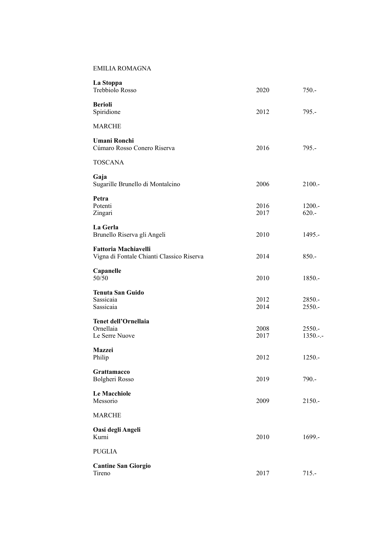### EMILIA ROMAGNA

| La Stoppa<br>Trebbiolo Rosso                                             | 2020         | $750. -$               |
|--------------------------------------------------------------------------|--------------|------------------------|
| <b>Berioli</b><br>Spiridione                                             | 2012         | $795. -$               |
| <b>MARCHE</b>                                                            |              |                        |
| Umani Ronchi<br>Cúmaro Rosso Conero Riserva                              | 2016         | $795. -$               |
| <b>TOSCANA</b>                                                           |              |                        |
| Gaja<br>Sugarille Brunello di Montalcino                                 | 2006         | $2100. -$              |
| Petra<br>Potenti<br>Zingari                                              | 2016<br>2017 | $1200. -$<br>$620. -$  |
| La Gerla<br>Brunello Riserva gli Angeli                                  | 2010         | 1495.-                 |
| <b>Fattoria Machiavelli</b><br>Vigna di Fontale Chianti Classico Riserva | 2014         | $850 -$                |
| Capanelle<br>50/50                                                       | 2010         | 1850.-                 |
| <b>Tenuta San Guido</b><br>Sassicaia<br>Sassicaia                        | 2012<br>2014 | $2850. -$<br>$2550. -$ |
| Tenet dell'Ornellaia<br>Ornellaia<br>Le Serre Nuove                      | 2008<br>2017 | $2550. -$<br>$1350--$  |
| Mazzei<br>Philip                                                         | 2012         | $1250. -$              |
| Grattamacco<br>Bolgheri Rosso                                            | 2019         | 790.-                  |
| <b>Le Macchiole</b><br>Messorio                                          | 2009         | $2150. -$              |
| <b>MARCHE</b>                                                            |              |                        |
| Oasi degli Angeli<br>Kurni                                               | 2010         | 1699.-                 |
| <b>PUGLIA</b>                                                            |              |                        |
| <b>Cantine San Giorgio</b><br>Tireno                                     | 2017         | $715. -$               |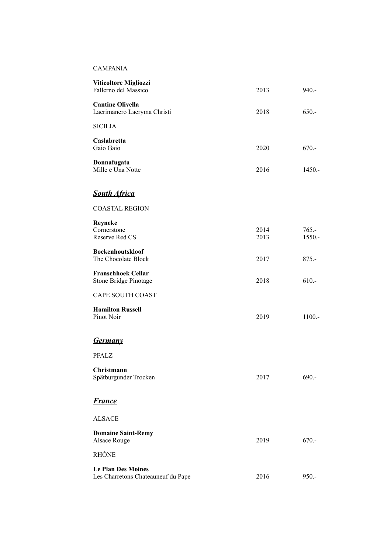### CAMPANIA

| Viticoltore Migliozzi<br>Fallerno del Massico                   | 2013         | $940 -$               |
|-----------------------------------------------------------------|--------------|-----------------------|
| <b>Cantine Olivella</b><br>Lacrimanero Lacryma Christi          | 2018         | $650 -$               |
| <b>SICILIA</b>                                                  |              |                       |
| Caslabretta<br>Gaio Gaio                                        | 2020         | $670 -$               |
| Donnafugata<br>Mille e Una Notte                                | 2016         | $1450. -$             |
| <b>South Africa</b>                                             |              |                       |
| <b>COASTAL REGION</b>                                           |              |                       |
| <b>Reyneke</b><br>Cornerstone<br>Reserve Red CS                 | 2014<br>2013 | $765. -$<br>$1550. -$ |
| <b>Boekenhoutskloof</b><br>The Chocolate Block                  | 2017         | $875. -$              |
| <b>Franschhoek Cellar</b><br>Stone Bridge Pinotage              | 2018         | $610 -$               |
| CAPE SOUTH COAST                                                |              |                       |
| <b>Hamilton Russell</b><br>Pinot Noir                           | 2019         | $1100. -$             |
| <b>Germany</b>                                                  |              |                       |
| <b>PFALZ</b>                                                    |              |                       |
| Christmann<br>Spätburgunder Trocken                             | 2017         | $690. -$              |
| <b>France</b>                                                   |              |                       |
| <b>ALSACE</b>                                                   |              |                       |
| <b>Domaine Saint-Remy</b><br>Alsace Rouge                       | 2019         | $670. -$              |
| <b>RHÔNE</b>                                                    |              |                       |
| <b>Le Plan Des Moines</b><br>Les Charretons Chateauneuf du Pape | 2016         | $950 -$               |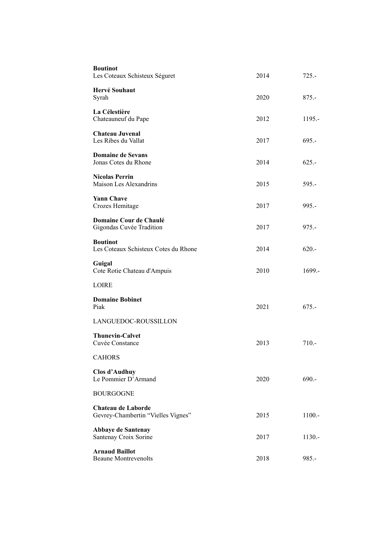| <b>Boutinot</b><br>Les Coteaux Schisteux Séguret         | 2014 | $725. -$  |
|----------------------------------------------------------|------|-----------|
| Hervé Souhaut<br>Syrah                                   | 2020 | $875 -$   |
| La Célestière<br>Chateauneuf du Pape                     | 2012 | $1195. -$ |
| <b>Chateau Juvenal</b><br>Les Ribes du Vallat            | 2017 | $695. -$  |
| <b>Domaine de Sevans</b><br>Jonas Cotes du Rhone         | 2014 | $625. -$  |
| <b>Nicolas Perrin</b><br>Maison Les Alexandrins          | 2015 | $595 -$   |
| <b>Yann Chave</b><br>Crozes Hemitage                     | 2017 | $995 -$   |
| Domaine Cour de Chaulé<br>Gigondas Cuvée Tradition       | 2017 | $975. -$  |
| <b>Boutinot</b><br>Les Coteaux Schisteux Cotes du Rhone  | 2014 | $620 -$   |
| Guigal<br>Cote Rotie Chateau d'Ampuis                    | 2010 | $1699. -$ |
| <b>LOIRE</b>                                             |      |           |
| <b>Domaine Bobinet</b><br>Piak                           | 2021 | $675. -$  |
| LANGUEDOC-ROUSSILLON                                     |      |           |
| <b>Thunevin-Calvet</b><br>Cuvée Constance                | 2013 | $710 -$   |
| <b>CAHORS</b>                                            |      |           |
| Clos d'Audhuy<br>Le Pommier D'Armand                     | 2020 | $690. -$  |
| <b>BOURGOGNE</b>                                         |      |           |
| Chateau de Laborde<br>Gevrey-Chambertin "Vielles Vignes" | 2015 | $1100. -$ |
| <b>Abbaye de Santenay</b><br>Santenay Croix Sorine       | 2017 | $1130. -$ |
| <b>Arnaud Baillot</b><br><b>Beaune Montrevenolts</b>     | 2018 | $985 -$   |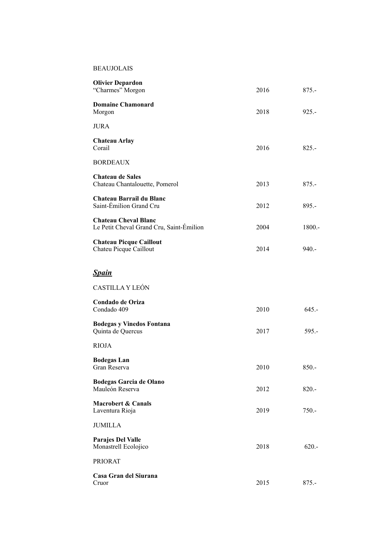### BEAUJOLAIS

| <b>Olivier Depardon</b><br>"Charmes" Morgon                             | 2016 | $875 -$  |
|-------------------------------------------------------------------------|------|----------|
| <b>Domaine Chamonard</b><br>Morgon                                      | 2018 | $925 -$  |
| <b>JURA</b>                                                             |      |          |
| <b>Chateau Arlay</b><br>Corail                                          | 2016 | $825 -$  |
| <b>BORDEAUX</b>                                                         |      |          |
| <b>Chateau de Sales</b><br>Chateau Chantalouette, Pomerol               | 2013 | $875. -$ |
| Chateau Barrail du Blanc<br>Saint-Émilion Grand Cru                     | 2012 | $895 -$  |
| <b>Chateau Cheval Blanc</b><br>Le Petit Cheval Grand Cru, Saint-Émilion | 2004 | $1800 -$ |
| <b>Chateau Picque Caillout</b><br>Chateu Picque Caillout                | 2014 | $940 -$  |
| <u>Spain</u>                                                            |      |          |
| CASTILLA Y LEÓN                                                         |      |          |
| Condado de Oriza<br>Condado 409                                         | 2010 | $645 -$  |
| <b>Bodegas y Vinedos Fontana</b><br>Quinta de Quercus                   | 2017 | $595. -$ |
| <b>RIOJA</b>                                                            |      |          |
| <b>Bodegas Lan</b><br>Gran Reserva                                      | 2010 | $850. -$ |
| Bodegas Garcia de Olano<br>Mauleón Reserva                              | 2012 | $820. -$ |
| Macrobert & Canals<br>Laventura Rioja                                   | 2019 | $750. -$ |
| <b>JUMILLA</b>                                                          |      |          |
| Parajes Del Valle<br>Monastrell Ecolojico                               | 2018 | $620 -$  |
| <b>PRIORAT</b>                                                          |      |          |
| Casa Gran del Siurana<br>Cruor                                          | 2015 | $875. -$ |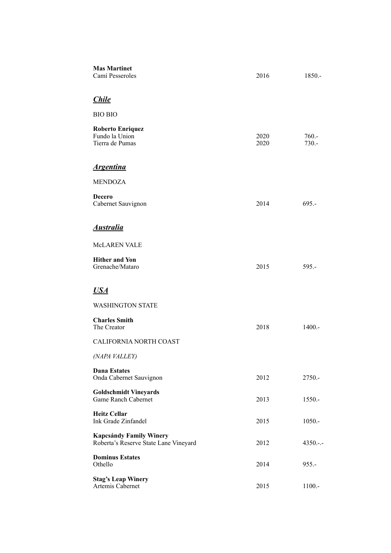| <b>Mas Martinet</b><br>Camí Pesseroles                                  | 2016         | 1850.-              |
|-------------------------------------------------------------------------|--------------|---------------------|
| <u>Chile</u>                                                            |              |                     |
| <b>BIO BIO</b>                                                          |              |                     |
| <b>Roberto Enriquez</b><br>Fundo la Union<br>Tierra de Pumas            | 2020<br>2020 | $760 -$<br>$730. -$ |
| <b>Argentina</b>                                                        |              |                     |
| <b>MENDOZA</b>                                                          |              |                     |
| <b>Decero</b><br>Cabernet Sauvignon                                     | 2014         | $695. -$            |
| <b>Australia</b>                                                        |              |                     |
| McLAREN VALE                                                            |              |                     |
| <b>Hither and Yon</b><br>Grenache/Mataro                                | 2015         | $595. -$            |
| <b>USA</b>                                                              |              |                     |
| <b>WASHINGTON STATE</b>                                                 |              |                     |
| <b>Charles Smith</b><br>The Creator                                     | 2018         | $1400. -$           |
| CALIFORNIA NORTH COAST                                                  |              |                     |
| (NAPA VALLEY)                                                           |              |                     |
| <b>Dana Estates</b><br>Onda Cabernet Sauvignon                          | 2012         | 2750.-              |
| <b>Goldschmidt Vineyards</b><br>Game Ranch Cabernet                     | 2013         | $1550. -$           |
| <b>Heitz Cellar</b><br>Ink Grade Zinfandel                              | 2015         | $1050. -$           |
| <b>Kapcsándy Family Winery</b><br>Roberta's Reserve State Lane Vineyard | 2012         | $4350. - -$         |
| <b>Dominus Estates</b><br>Othello                                       | 2014         | $955. -$            |
| <b>Stag's Leap Winery</b><br>Artemis Cabernet                           | 2015         | $1100. -$           |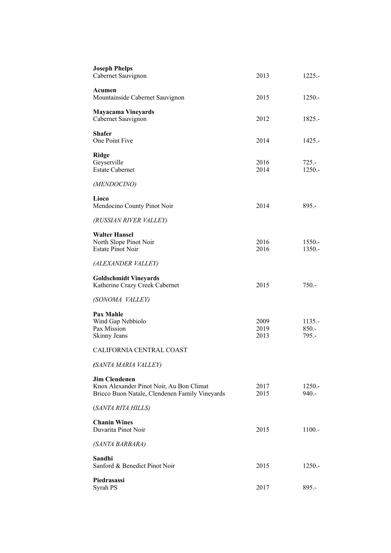| <b>Joseph Phelps</b><br>Cabernet Sauvignon                                                                                                 | 2013                 | $1225. -$                    |
|--------------------------------------------------------------------------------------------------------------------------------------------|----------------------|------------------------------|
| Acumen<br>Mountainside Cabernet Sauvignon                                                                                                  | 2015                 | $1250. -$                    |
| <b>Mayacama Vineyards</b><br>Cabernet Sauvignon                                                                                            | 2012                 | $1825. -$                    |
| <b>Shafer</b><br>One Point Five                                                                                                            | 2014                 | 1425.                        |
| <b>Ridge</b><br>Geyserville<br><b>Estate Cabernet</b>                                                                                      | 2016<br>2014         | $725 -$<br>$1250. -$         |
| (MENDOCINO)                                                                                                                                |                      |                              |
| Lioco<br>Mendocino County Pinot Noir                                                                                                       | 2014                 | $895 -$                      |
| (RUSSIAN RIVER VALLEY)                                                                                                                     |                      |                              |
| <b>Walter Hansel</b><br>North Slope Pinot Noir<br><b>Estate Pinot Noir</b>                                                                 | 2016<br>2016         | $1550. -$<br>$1350. -$       |
| (ALEXANDER VALLEY)                                                                                                                         |                      |                              |
| <b>Goldschmidt Vineyards</b><br>Katherine Crazy Creek Cabernet                                                                             | 2015                 | $750 -$                      |
| (SONOMA VALLEY)                                                                                                                            |                      |                              |
| Pax Mahle<br>Wind Gap Nebbiolo<br>Pax Mission<br><b>Skinny Jeans</b>                                                                       | 2009<br>2019<br>2013 | 1135.<br>$850 -$<br>$795. -$ |
| CALIFORNIA CENTRAL COAST                                                                                                                   |                      |                              |
| (SANTA MARIA VALLEY)<br><b>Jim Clendenen</b><br>Knox Alexander Pinot Noir, Au Bon Climat<br>Bricco Buon Natale, Clendenen Family Vineyards | 2017<br>2015         | $1250. -$<br>$940 -$         |
| (SANTA RITA HILLS)                                                                                                                         |                      |                              |
| <b>Chanin Wines</b><br>Duvarita Pinot Noir                                                                                                 | 2015                 | $1100. -$                    |
| (SANTA BARBARA)                                                                                                                            |                      |                              |
| Sandhi<br>Sanford & Benedict Pinot Noir                                                                                                    | 2015                 | $1250. -$                    |
| Piedrasassi<br>Syrah PS                                                                                                                    | 2017                 | $895 -$                      |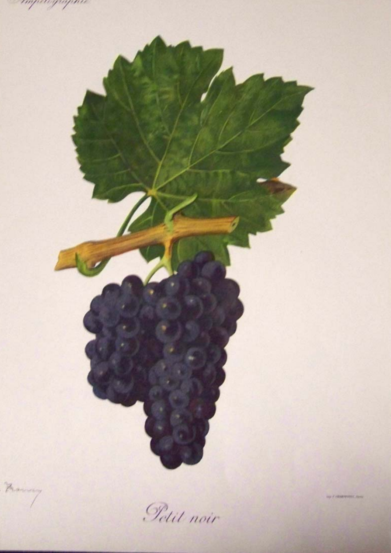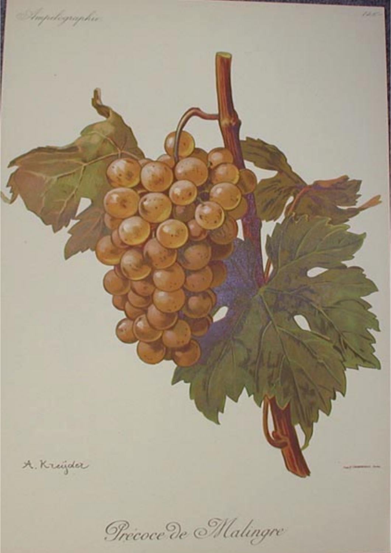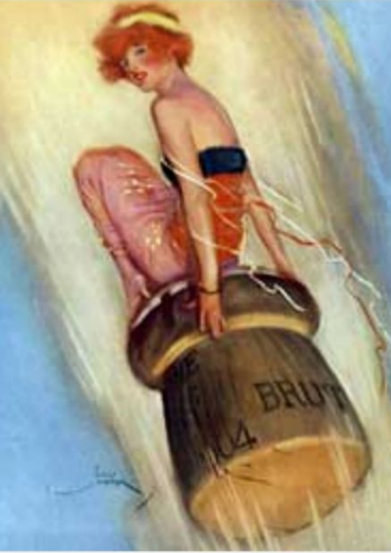